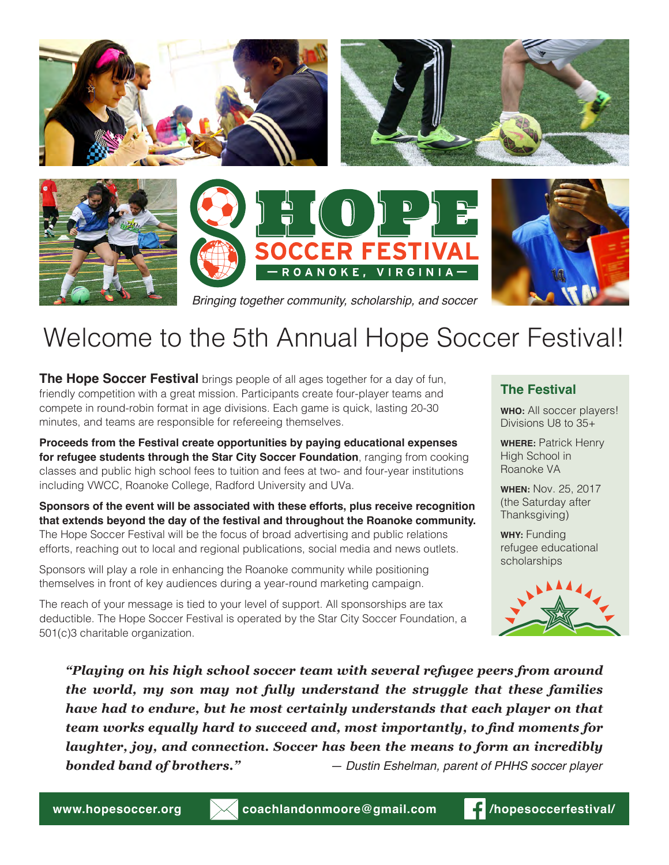







*Bringing together community, scholarship, and soccer*

## Welcome to the 5th Annual Hope Soccer Festival!

**The Hope Soccer Festival** brings people of all ages together for a day of fun, friendly competition with a great mission. Participants create four-player teams and compete in round-robin format in age divisions. Each game is quick, lasting 20-30 minutes, and teams are responsible for refereeing themselves.

**Proceeds from the Festival create opportunities by paying educational expenses for refugee students through the Star City Soccer Foundation**, ranging from cooking classes and public high school fees to tuition and fees at two- and four-year institutions including VWCC, Roanoke College, Radford University and UVa.

**Sponsors of the event will be associated with these efforts, plus receive recognition that extends beyond the day of the festival and throughout the Roanoke community.** The Hope Soccer Festival will be the focus of broad advertising and public relations efforts, reaching out to local and regional publications, social media and news outlets.

Sponsors will play a role in enhancing the Roanoke community while positioning themselves in front of key audiences during a year-round marketing campaign.

The reach of your message is tied to your level of support. All sponsorships are tax deductible. The Hope Soccer Festival is operated by the Star City Soccer Foundation, a 501(c)3 charitable organization.

#### **The Festival**

**WHO:** All soccer players! Divisions U8 to 35+

**WHERE:** Patrick Henry High School in Roanoke VA

**WHEN:** Nov. 25, 2017 (the Saturday after Thanksgiving)

**WHY:** Funding refugee educational scholarships



*"Playing on his high school soccer team with several refugee peers from around the world, my son may not fully understand the struggle that these families have had to endure, but he most certainly understands that each player on that team works equally hard to succeed and, most importantly, to find moments for laughter, joy, and connection. Soccer has been the means to form an incredibly bonded band of brothers." — Dustin Eshelman, parent of PHHS soccer player*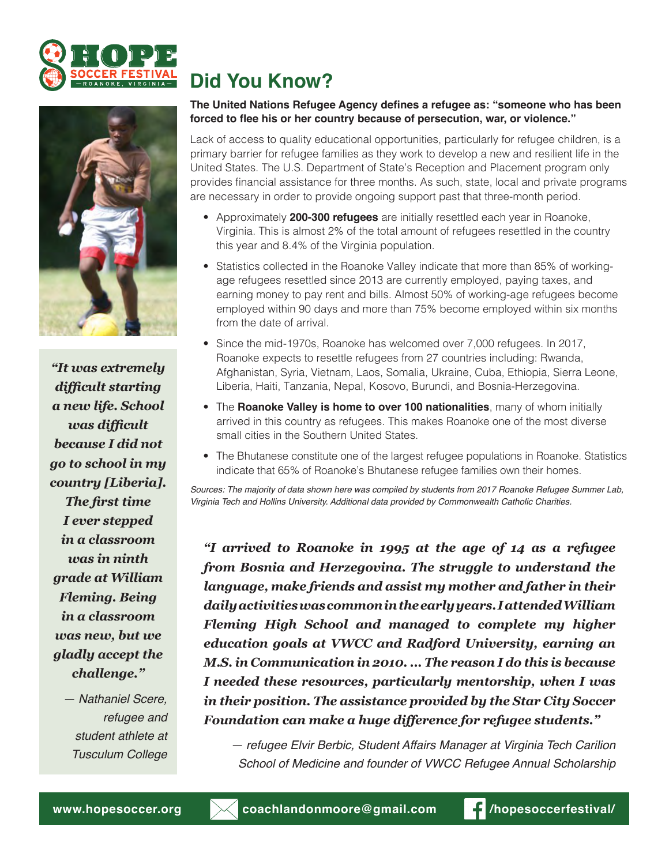



*"It was extremely difficult starting a new life. School was difficult because I did not go to school in my country [Liberia]. The first time I ever stepped in a classroom was in ninth grade at William Fleming. Being in a classroom was new, but we gladly accept the challenge."*

> *— Nathaniel Scere, refugee and student athlete at Tusculum College*

### **Did You Know?**

#### **The United Nations Refugee Agency defines a refugee as: "someone who has been forced to flee his or her country because of persecution, war, or violence."**

Lack of access to quality educational opportunities, particularly for refugee children, is a primary barrier for refugee families as they work to develop a new and resilient life in the United States. The U.S. Department of State's Reception and Placement program only provides financial assistance for three months. As such, state, local and private programs are necessary in order to provide ongoing support past that three-month period.

- Approximately **200-300 refugees** are initially resettled each year in Roanoke, Virginia. This is almost 2% of the total amount of refugees resettled in the country this year and 8.4% of the Virginia population.
- Statistics collected in the Roanoke Valley indicate that more than 85% of workingage refugees resettled since 2013 are currently employed, paying taxes, and earning money to pay rent and bills. Almost 50% of working-age refugees become employed within 90 days and more than 75% become employed within six months from the date of arrival.
- Since the mid-1970s, Roanoke has welcomed over 7,000 refugees. In 2017, Roanoke expects to resettle refugees from 27 countries including: Rwanda, Afghanistan, Syria, Vietnam, Laos, Somalia, Ukraine, Cuba, Ethiopia, Sierra Leone, Liberia, Haiti, Tanzania, Nepal, Kosovo, Burundi, and Bosnia-Herzegovina.
- The **Roanoke Valley is home to over 100 nationalities**, many of whom initially arrived in this country as refugees. This makes Roanoke one of the most diverse small cities in the Southern United States.
- The Bhutanese constitute one of the largest refugee populations in Roanoke. Statistics indicate that 65% of Roanoke's Bhutanese refugee families own their homes.

*Sources: The majority of data shown here was compiled by students from 2017 Roanoke Refugee Summer Lab, Virginia Tech and Hollins University. Additional data provided by Commonwealth Catholic Charities.*

*"I arrived to Roanoke in 1995 at the age of 14 as a refugee from Bosnia and Herzegovina. The struggle to understand the language, make friends and assist my mother and father in their daily activities was common in the early years. I attended William Fleming High School and managed to complete my higher education goals at VWCC and Radford University, earning an M.S. in Communication in 2010. ... The reason I do this is because I needed these resources, particularly mentorship, when I was in their position. The assistance provided by the Star City Soccer Foundation can make a huge difference for refugee students."*

*— refugee Elvir Berbic, Student Affairs Manager at Virginia Tech Carilion School of Medicine and founder of VWCC Refugee Annual Scholarship*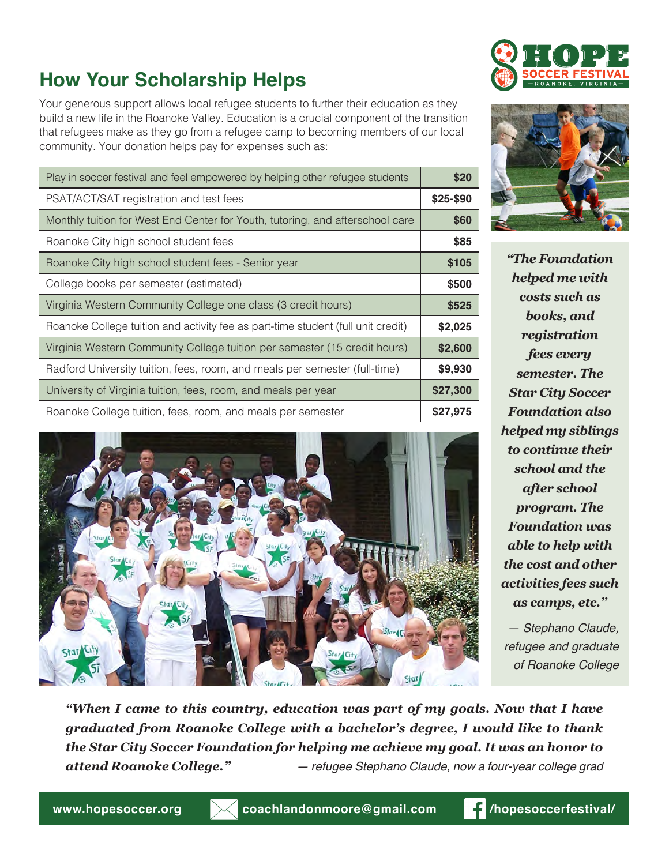## **How Your Scholarship Helps**

Your generous support allows local refugee students to further their education as they build a new life in the Roanoke Valley. Education is a crucial component of the transition that refugees make as they go from a refugee camp to becoming members of our local community. Your donation helps pay for expenses such as:

| Play in soccer festival and feel empowered by helping other refugee students     |           |  |  |
|----------------------------------------------------------------------------------|-----------|--|--|
| PSAT/ACT/SAT registration and test fees                                          | \$25-\$90 |  |  |
| Monthly tuition for West End Center for Youth, tutoring, and afterschool care    | \$60      |  |  |
| Roanoke City high school student fees                                            | \$85      |  |  |
| Roanoke City high school student fees - Senior year                              | \$105     |  |  |
| College books per semester (estimated)                                           | \$500     |  |  |
| Virginia Western Community College one class (3 credit hours)                    | \$525     |  |  |
| Roanoke College tuition and activity fee as part-time student (full unit credit) | \$2,025   |  |  |
| Virginia Western Community College tuition per semester (15 credit hours)        | \$2,600   |  |  |
| Radford University tuition, fees, room, and meals per semester (full-time)       | \$9,930   |  |  |
| University of Virginia tuition, fees, room, and meals per year                   |           |  |  |
| Roanoke College tuition, fees, room, and meals per semester                      |           |  |  |







*"The Foundation helped me with costs such as books, and registration fees every semester. The Star City Soccer Foundation also helped my siblings to continue their school and the after school program. The Foundation was able to help with the cost and other activities fees such as camps, etc."*

*— Stephano Claude, refugee and graduate of Roanoke College*

*"When I came to this country, education was part of my goals. Now that I have graduated from Roanoke College with a bachelor's degree, I would like to thank the Star City Soccer Foundation for helping me achieve my goal. It was an honor to attend Roanoke College." — refugee Stephano Claude, now a four-year college grad*